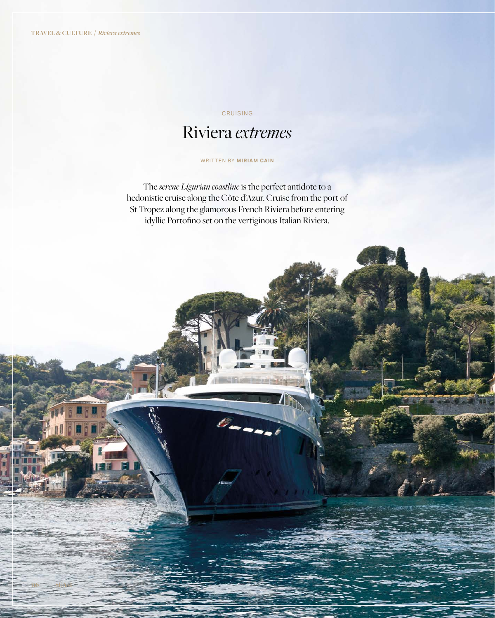**116 SEA+I**

## CRUISING

# Riviera *extremes*

#### WRITTEN BY **MIRIAM CAIN**

The *serene Ligurian coastline* is the perfect antidote to a hedonistic cruise along the Côte d'Azur. Cruise from the port of St Tropez along the glamorous French Riviera before entering idyllic Portofino set on the vertiginous Italian Riviera.

8-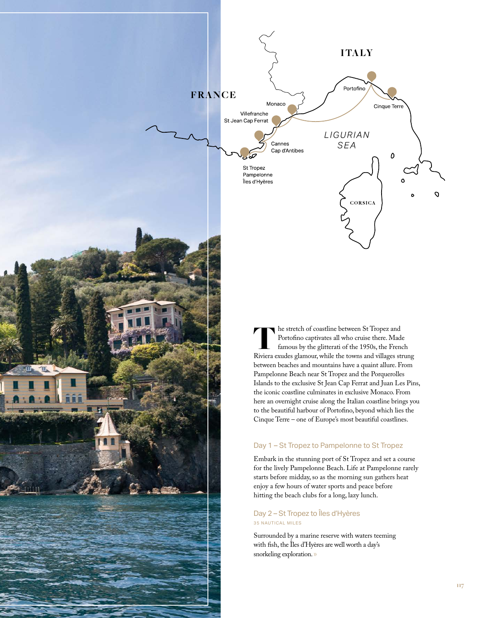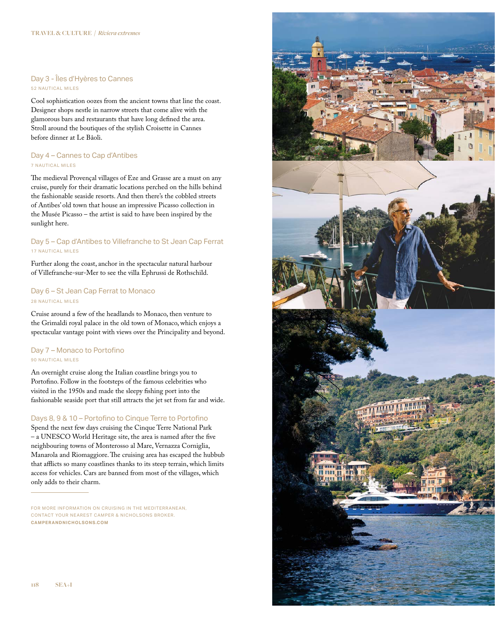#### Day 3 - Îles d'Hyères to Cannes 52 NAUTICAL MILES

Cool sophistication oozes from the ancient towns that line the coast. Designer shops nestle in narrow streets that come alive with the glamorous bars and restaurants that have long defned the area. Stroll around the boutiques of the stylish Croisette in Cannes before dinner at Le Bâoli.

## Day 4 – Cannes to Cap d'Antibes 7 NAUTICAL MILES

The medieval Provençal villages of Eze and Grasse are a must on any cruise, purely for their dramatic locations perched on the hills behind the fashionable seaside resorts. And then there's the cobbled streets of Antibes' old town that house an impressive Picasso collection in the Musée Picasso – the artist is said to have been inspired by the sunlight here.

## Day 5 – Cap d'Antibes to Villefranche to St Jean Cap Ferrat 17 NAUTICAL MILES

Further along the coast, anchor in the spectacular natural harbour of Villefranche-sur-Mer to see the villa Ephrussi de Rothschild.

# Day 6 – St Jean Cap Ferrat to Monaco 28 NAUTICAL MILES

Cruise around a few of the headlands to Monaco, then venture to the Grimaldi royal palace in the old town of Monaco, which enjoys a spectacular vantage point with views over the Principality and beyond.

## Day 7 - Monaco to Portofino 90 NAUTICAL MILES

An overnight cruise along the Italian coastline brings you to Portofno. Follow in the footsteps of the famous celebrities who visited in the 1950s and made the sleepy fshing port into the fashionable seaside port that still attracts the jet set from far and wide.

# Days 8, 9 & 10 – Portofino to Cinque Terre to Portofino

Spend the next few days cruising the Cinque Terre National Park – a UNESCO World Heritage site, the area is named after the fve neighbouring towns of Monterosso al Mare, Vernazza Corniglia, Manarola and Riomaggiore. The cruising area has escaped the hubbub that afflicts so many coastlines thanks to its steep terrain, which limits access for vehicles. Cars are banned from most of the villages, which only adds to their charm.



FOR MORE INFORMATION ON CRUISING IN THE MEDITERRANEAN. CONTACT YOUR NEAREST CAMPER & NICHOLSONS BROKER. **CAMPER ANDNICHOLSONS.COM**